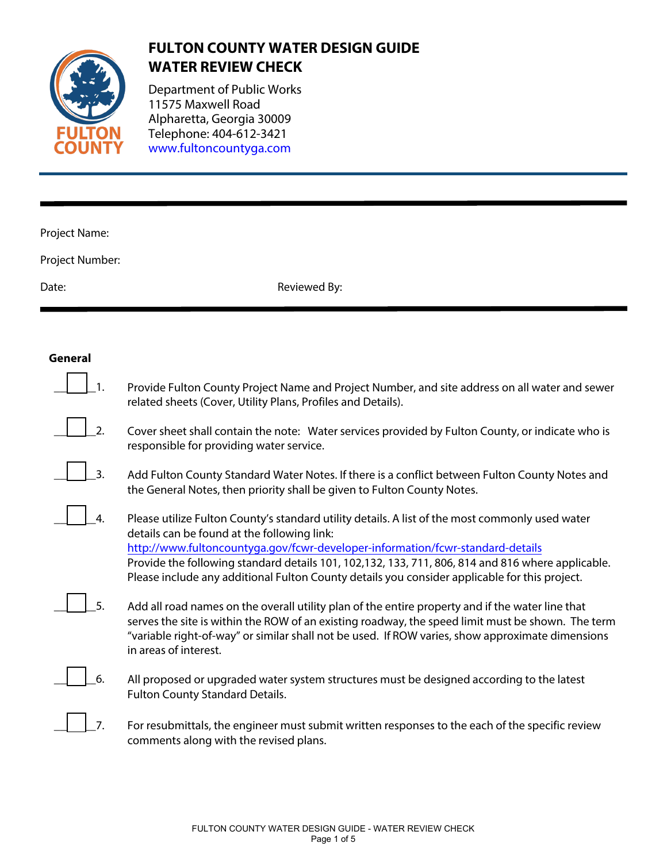

# **FULTON COUNTY WATER DESIGN GUIDE WATER REVIEW CHECK**

Department of Public Works 11575 Maxwell Road Alpharetta, Ge[orgia 30009](www.fultoncountyga.com) Telephone: 404-612-3421 [www.fultoncountyga.com](http://www.fultoncountyga.com)

# Project Name:

Project Number:

Date: Reviewed By:

## **General**

| 1. | Provide Fulton County Project Name and Project Number, and site address on all water and sewer<br>related sheets (Cover, Utility Plans, Profiles and Details).                                                                                                                                                                                                                                                                         |
|----|----------------------------------------------------------------------------------------------------------------------------------------------------------------------------------------------------------------------------------------------------------------------------------------------------------------------------------------------------------------------------------------------------------------------------------------|
| 2. | Cover sheet shall contain the note: Water services provided by Fulton County, or indicate who is<br>responsible for providing water service.                                                                                                                                                                                                                                                                                           |
| 3. | Add Fulton County Standard Water Notes. If there is a conflict between Fulton County Notes and<br>the General Notes, then priority shall be given to Fulton County Notes.                                                                                                                                                                                                                                                              |
| 4. | Please utilize Fulton County's standard utility details. A list of the most commonly used water<br>details can be found at the following link:<br>http://www.fultoncountyga.gov/fcwr-developer-information/fcwr-standard-details<br>Provide the following standard details 101, 102,132, 133, 711, 806, 814 and 816 where applicable.<br>Please include any additional Fulton County details you consider applicable for this project. |
| 5. | Add all road names on the overall utility plan of the entire property and if the water line that<br>serves the site is within the ROW of an existing roadway, the speed limit must be shown. The term<br>"variable right-of-way" or similar shall not be used. If ROW varies, show approximate dimensions<br>in areas of interest.                                                                                                     |
| 6. | All proposed or upgraded water system structures must be designed according to the latest<br>Fulton County Standard Details.                                                                                                                                                                                                                                                                                                           |
| 7. | For resubmittals, the engineer must submit written responses to the each of the specific review<br>comments along with the revised plans.                                                                                                                                                                                                                                                                                              |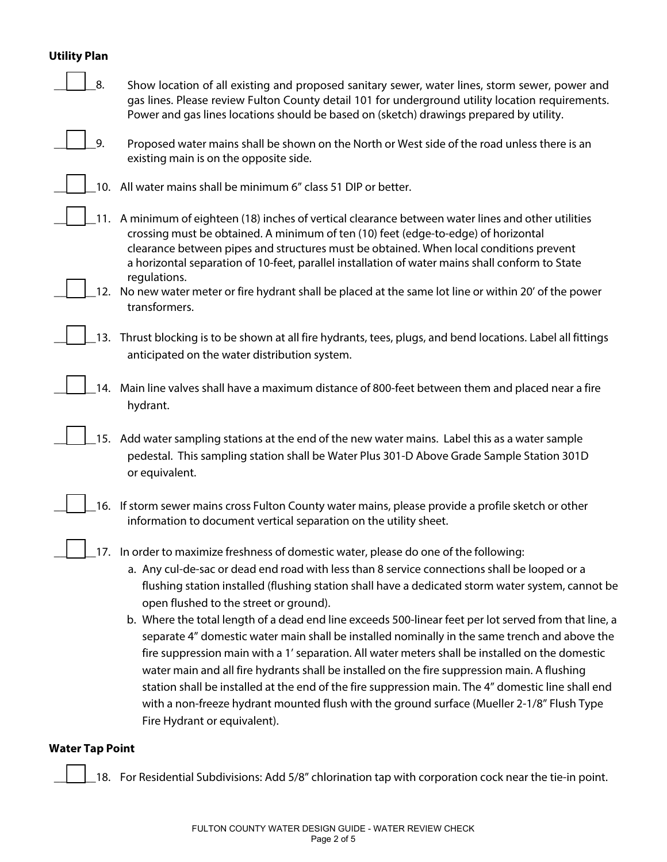# **Utility Plan**

| 8.                     | Show location of all existing and proposed sanitary sewer, water lines, storm sewer, power and<br>gas lines. Please review Fulton County detail 101 for underground utility location requirements.<br>Power and gas lines locations should be based on (sketch) drawings prepared by utility.                                                                                                                                                                                                                                                                                                                                                                                                                                                                                                                                                                                                                                                                                         |
|------------------------|---------------------------------------------------------------------------------------------------------------------------------------------------------------------------------------------------------------------------------------------------------------------------------------------------------------------------------------------------------------------------------------------------------------------------------------------------------------------------------------------------------------------------------------------------------------------------------------------------------------------------------------------------------------------------------------------------------------------------------------------------------------------------------------------------------------------------------------------------------------------------------------------------------------------------------------------------------------------------------------|
| 9.                     | Proposed water mains shall be shown on the North or West side of the road unless there is an<br>existing main is on the opposite side.                                                                                                                                                                                                                                                                                                                                                                                                                                                                                                                                                                                                                                                                                                                                                                                                                                                |
|                        | 10. All water mains shall be minimum 6" class 51 DIP or better.                                                                                                                                                                                                                                                                                                                                                                                                                                                                                                                                                                                                                                                                                                                                                                                                                                                                                                                       |
|                        | 11. A minimum of eighteen (18) inches of vertical clearance between water lines and other utilities<br>crossing must be obtained. A minimum of ten (10) feet (edge-to-edge) of horizontal<br>clearance between pipes and structures must be obtained. When local conditions prevent<br>a horizontal separation of 10-feet, parallel installation of water mains shall conform to State<br>regulations.                                                                                                                                                                                                                                                                                                                                                                                                                                                                                                                                                                                |
|                        | 12. No new water meter or fire hydrant shall be placed at the same lot line or within 20' of the power<br>transformers.                                                                                                                                                                                                                                                                                                                                                                                                                                                                                                                                                                                                                                                                                                                                                                                                                                                               |
| 13.                    | Thrust blocking is to be shown at all fire hydrants, tees, plugs, and bend locations. Label all fittings<br>anticipated on the water distribution system.                                                                                                                                                                                                                                                                                                                                                                                                                                                                                                                                                                                                                                                                                                                                                                                                                             |
|                        | 14. Main line valves shall have a maximum distance of 800-feet between them and placed near a fire<br>hydrant.                                                                                                                                                                                                                                                                                                                                                                                                                                                                                                                                                                                                                                                                                                                                                                                                                                                                        |
|                        | 15. Add water sampling stations at the end of the new water mains. Label this as a water sample<br>pedestal. This sampling station shall be Water Plus 301-D Above Grade Sample Station 301D<br>or equivalent.                                                                                                                                                                                                                                                                                                                                                                                                                                                                                                                                                                                                                                                                                                                                                                        |
|                        | 16. If storm sewer mains cross Fulton County water mains, please provide a profile sketch or other<br>information to document vertical separation on the utility sheet.                                                                                                                                                                                                                                                                                                                                                                                                                                                                                                                                                                                                                                                                                                                                                                                                               |
|                        | 17. In order to maximize freshness of domestic water, please do one of the following:<br>a. Any cul-de-sac or dead end road with less than 8 service connections shall be looped or a<br>flushing station installed (flushing station shall have a dedicated storm water system, cannot be<br>open flushed to the street or ground).<br>b. Where the total length of a dead end line exceeds 500-linear feet per lot served from that line, a<br>separate 4" domestic water main shall be installed nominally in the same trench and above the<br>fire suppression main with a 1' separation. All water meters shall be installed on the domestic<br>water main and all fire hydrants shall be installed on the fire suppression main. A flushing<br>station shall be installed at the end of the fire suppression main. The 4" domestic line shall end<br>with a non-freeze hydrant mounted flush with the ground surface (Mueller 2-1/8" Flush Type<br>Fire Hydrant or equivalent). |
| <b>Water Tap Point</b> |                                                                                                                                                                                                                                                                                                                                                                                                                                                                                                                                                                                                                                                                                                                                                                                                                                                                                                                                                                                       |

 $\Box$  18. For Residential Subdivisions: Add 5/8" chlorination tap with corporation cock near the tie-in point.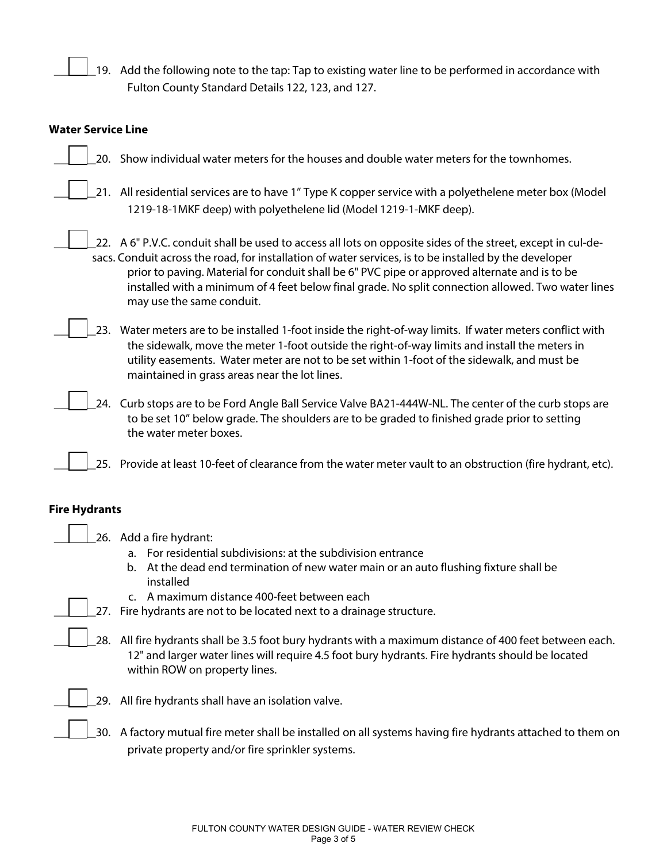19. Add the following note to the tap: Tap to existing water line to be performed in accordance with Fulton County Standard Details 122, 123, and 127.

#### **Water Service Line**

- 20. Show individual water meters for the houses and double water meters for the townhomes.
	- \_21. All residential services are to have 1" Type K copper service with a polyethelene meter box (Model 1219-18-1MKF deep) with polyethelene lid (Model 1219-1-MKF deep).
- 22. A 6" P.V.C. conduit shall be used to access all lots on opposite sides of the street, except in cul-de sacs. Conduit across the road, for installation of water services, is to be installed by the developer prior to paving. Material for conduit shall be 6" PVC pipe or approved alternate and is to be installed with a minimum of 4 feet below final grade. No split connection allowed. Two water lines may use the same conduit.
- 23. Water meters are to be installed 1-foot inside the right-of-way limits. If water meters conflict with the sidewalk, move the meter 1-foot outside the right-of-way limits and install the meters in utility easements. Water meter are not to be set within 1-foot of the sidewalk, and must be maintained in grass areas near the lot lines.
- 24. Curb stops are to be Ford Angle Ball Service Valve BA21-444W-NL. The center of the curb stops are to be set 10" below grade. The shoulders are to be graded to finished grade prior to setting the water meter boxes.
- \_25. Provide at least 10-feet of clearance from the water meter vault to an obstruction (fire hydrant, etc).

#### **Fire Hydrants**

26. Add a fire hydrant:

- a. For residential subdivisions: at the subdivision entrance
- b. At the dead end termination of new water main or an auto flushing fixture shall be installed
- c. A maximum distance 400-feet between each
- 27. Fire hydrants are not to be located next to a drainage structure.
- 28. All fire hydrants shall be 3.5 foot bury hydrants with a maximum distance of 400 feet between each. 12" and larger water lines will require 4.5 foot bury hydrants. Fire hydrants should be located within ROW on property lines.



- 29. All fire hydrants shall have an isolation valve.
- \_\_\_\_\_\_\_30. A factory mutual fire meter shall be installed on all systems having fire hydrants attached to them on private property and/or fire sprinkler systems.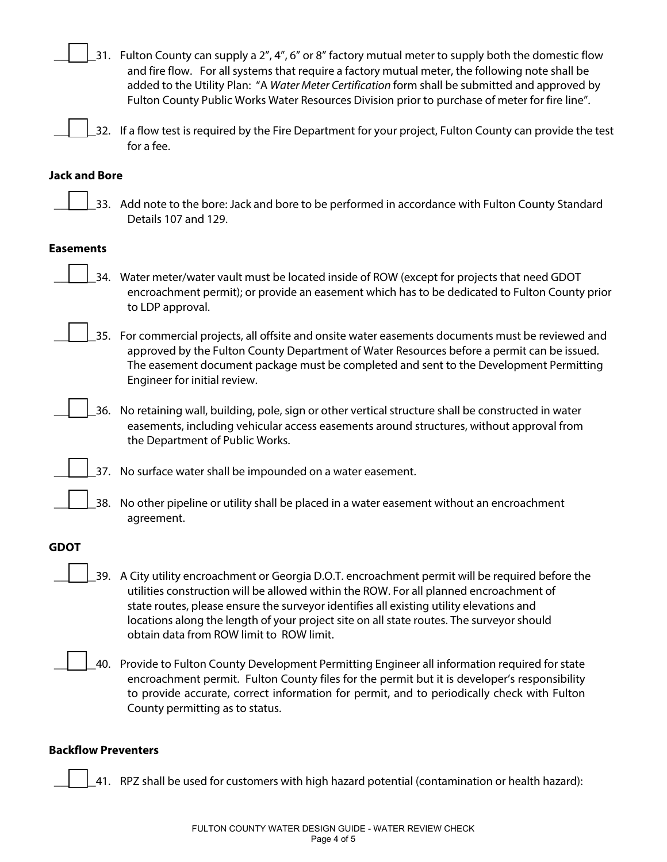\_31. Fulton County can supply a 2", 4", 6" or 8" factory mutual meter to supply both the domestic flow and fire flow. For all systems that require a factory mutual meter, the following note shall be added to the Utility Plan: "A Water Meter Certification form shall be submitted and approved by Fulton County Public Works Water Resources Division prior to purchase of meter for fire line".

32. If a flow test is required by the Fire Department for your project, Fulton County can provide the test for a fee.

#### **Jack and Bore**

\_33. Add note to the bore: Jack and bore to be performed in accordance with Fulton County Standard Details 107 and 129.

#### **Easements**

- 34. Water meter/water vault must be located inside of ROW (except for projects that need GDOT encroachment permit); or provide an easement which has to be dedicated to Fulton County prior to LDP approval.
- 35. For commercial projects, all offsite and onsite water easements documents must be reviewed and approved by the Fulton County Department of Water Resources before a permit can be issued. The easement document package must be completed and sent to the Development Permitting Engineer for initial review.
- \_\_\_\_\_\_\_36. No retaining wall, building, pole, sign or other vertical structure shall be constructed in water easements, including vehicular access easements around structures, without approval from the Department of Public Works.
	- \_37. No surface water shall be impounded on a water easement.
	- \_\_\_\_\_\_\_38. No other pipeline or utility shall be placed in a water easement without an encroachment agreement.

#### **GDOT**

- \_\_\_\_\_\_\_39. A City utility encroachment or Georgia D.O.T. encroachment permit will be required before the utilities construction will be allowed within the ROW. For all planned encroachment of state routes, please ensure the surveyor identifies all existing utility elevations and locations along the length of your project site on all state routes. The surveyor should obtain data from ROW limit to ROW limit.
	- \_\_\_\_\_\_\_40. Provide to Fulton County Development Permitting Engineer all information required for state encroachment permit. Fulton County files for the permit but it is developer's responsibility to provide accurate, correct information for permit, and to periodically check with Fulton County permitting as to status.

#### **Backflow Preventers**

\_\_\_\_\_\_\_41. RPZ shall be used for customers with high hazard potential (contamination or health hazard):